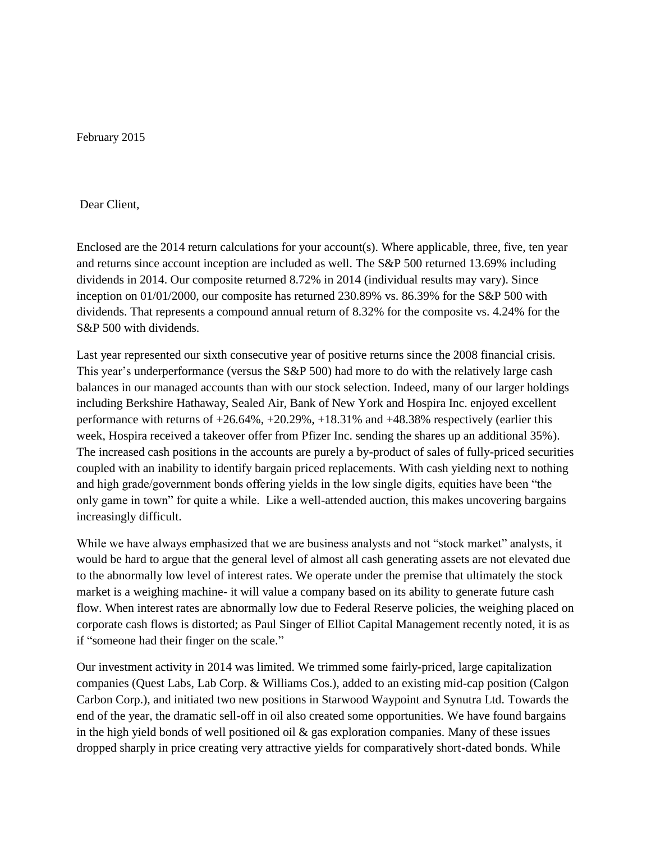February 2015

## Dear Client,

Enclosed are the 2014 return calculations for your account(s). Where applicable, three, five, ten year and returns since account inception are included as well. The S&P 500 returned 13.69% including dividends in 2014. Our composite returned 8.72% in 2014 (individual results may vary). Since inception on 01/01/2000, our composite has returned 230.89% vs. 86.39% for the S&P 500 with dividends. That represents a compound annual return of 8.32% for the composite vs. 4.24% for the S&P 500 with dividends.

Last year represented our sixth consecutive year of positive returns since the 2008 financial crisis. This year's underperformance (versus the S&P 500) had more to do with the relatively large cash balances in our managed accounts than with our stock selection. Indeed, many of our larger holdings including Berkshire Hathaway, Sealed Air, Bank of New York and Hospira Inc. enjoyed excellent performance with returns of  $+26.64\%$ ,  $+20.29\%$ ,  $+18.31\%$  and  $+48.38\%$  respectively (earlier this week, Hospira received a takeover offer from Pfizer Inc. sending the shares up an additional 35%). The increased cash positions in the accounts are purely a by-product of sales of fully-priced securities coupled with an inability to identify bargain priced replacements. With cash yielding next to nothing and high grade/government bonds offering yields in the low single digits, equities have been "the only game in town" for quite a while. Like a well-attended auction, this makes uncovering bargains increasingly difficult.

While we have always emphasized that we are business analysts and not "stock market" analysts, it would be hard to argue that the general level of almost all cash generating assets are not elevated due to the abnormally low level of interest rates. We operate under the premise that ultimately the stock market is a weighing machine- it will value a company based on its ability to generate future cash flow. When interest rates are abnormally low due to Federal Reserve policies, the weighing placed on corporate cash flows is distorted; as Paul Singer of Elliot Capital Management recently noted, it is as if "someone had their finger on the scale."

Our investment activity in 2014 was limited. We trimmed some fairly-priced, large capitalization companies (Quest Labs, Lab Corp. & Williams Cos.), added to an existing mid-cap position (Calgon Carbon Corp.), and initiated two new positions in Starwood Waypoint and Synutra Ltd. Towards the end of the year, the dramatic sell-off in oil also created some opportunities. We have found bargains in the high yield bonds of well positioned oil  $\&$  gas exploration companies. Many of these issues dropped sharply in price creating very attractive yields for comparatively short-dated bonds. While